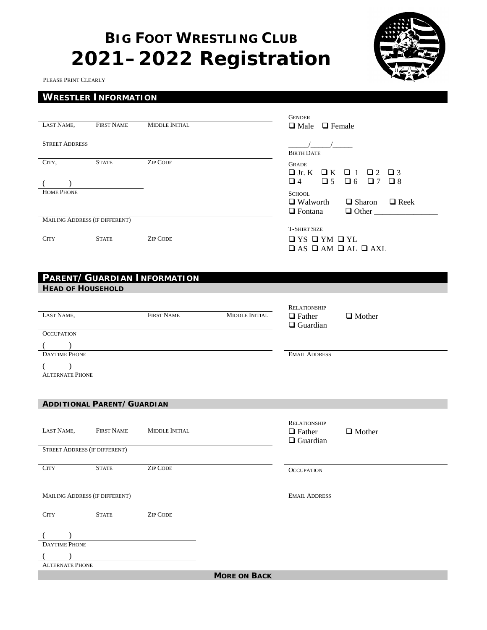# **BIG FOOT WRESTLING CLUB 2021–2022 Registration**



PLEASE PRINT CLEARLY

# **WRESTLER INFORMATION**

|                                       |                                   |                             |                       | <b>GENDER</b>                                        |                                                           |
|---------------------------------------|-----------------------------------|-----------------------------|-----------------------|------------------------------------------------------|-----------------------------------------------------------|
| LAST NAME,                            | <b>FIRST NAME</b>                 | <b>MIDDLE INITIAL</b>       |                       | $\Box$ Male $\Box$ Female                            |                                                           |
| <b>STREET ADDRESS</b>                 |                                   |                             |                       | <b>BIRTH DATE</b>                                    |                                                           |
| CITY,                                 | <b>STATE</b>                      | <b>ZIP CODE</b>             |                       | <b>GRADE</b>                                         |                                                           |
|                                       |                                   |                             |                       | $\Box$ Jr. K $\Box$ K                                | $\Box$ 1<br>$\Box$ 2 $\Box$ 3                             |
| $($ )                                 |                                   |                             |                       | $\Box$ 4<br>$\Box$ 5                                 | $\Box$ 7 $\Box$ 8<br>$\Box$ 6                             |
| <b>HOME PHONE</b>                     |                                   |                             |                       | <b>SCHOOL</b>                                        |                                                           |
|                                       |                                   |                             |                       | $\Box$ Fontana                                       | $\Box$ Walworth $\Box$ Sharon $\Box$ Reek<br>$\Box$ Other |
| <b>MAILING ADDRESS (IF DIFFERENT)</b> |                                   |                             |                       |                                                      |                                                           |
| <b>CITY</b>                           | <b>STATE</b>                      | <b>ZIP CODE</b>             |                       | <b>T-SHIRT SIZE</b><br>$\Box$ YS $\Box$ YM $\Box$ YL |                                                           |
|                                       |                                   |                             |                       | $\Box$ AS $\Box$ AM $\Box$ AL $\Box$ AXL             |                                                           |
|                                       |                                   |                             |                       |                                                      |                                                           |
|                                       |                                   |                             |                       |                                                      |                                                           |
| <b>HEAD OF HOUSEHOLD</b>              |                                   | PARENT/GUARDIAN INFORMATION |                       |                                                      |                                                           |
|                                       |                                   |                             |                       |                                                      |                                                           |
|                                       |                                   |                             |                       | RELATIONSHIP                                         |                                                           |
| LAST NAME,                            |                                   | <b>FIRST NAME</b>           | <b>MIDDLE INITIAL</b> | $\Box$ Father<br>$\Box$ Guardian                     | $\Box$ Mother                                             |
| <b>OCCUPATION</b>                     |                                   |                             |                       |                                                      |                                                           |
| $($ )                                 |                                   |                             |                       |                                                      |                                                           |
| <b>DAYTIME PHONE</b>                  |                                   |                             |                       | <b>EMAIL ADDRESS</b>                                 |                                                           |
| <b>ALTERNATE PHONE</b>                |                                   |                             |                       |                                                      |                                                           |
|                                       |                                   |                             |                       |                                                      |                                                           |
|                                       |                                   |                             |                       |                                                      |                                                           |
|                                       | <b>ADDITIONAL PARENT/GUARDIAN</b> |                             |                       |                                                      |                                                           |
|                                       |                                   |                             |                       | <b>RELATIONSHIP</b>                                  |                                                           |
| LAST NAME,                            | <b>FIRST NAME</b>                 | <b>MIDDLE INITIAL</b>       |                       | $\Box$ Father                                        | $\Box$ Mother                                             |
|                                       |                                   |                             |                       | $\Box$ Guardian                                      |                                                           |
| <b>STREET ADDRESS (IF DIFFERENT)</b>  |                                   |                             |                       |                                                      |                                                           |
| CITY                                  | $\text{STATE}\xspace$             | <b>ZIP CODE</b>             |                       | OCCUPATION                                           |                                                           |
|                                       |                                   |                             |                       |                                                      |                                                           |
| MAILING ADDRESS (IF DIFFERENT)        |                                   |                             |                       | <b>EMAIL ADDRESS</b>                                 |                                                           |
|                                       |                                   |                             |                       |                                                      |                                                           |
| <b>CITY</b>                           | <b>STATE</b>                      | <b>ZIP CODE</b>             |                       |                                                      |                                                           |
|                                       |                                   |                             |                       |                                                      |                                                           |
| <b>DAYTIME PHONE</b>                  |                                   |                             |                       |                                                      |                                                           |
|                                       |                                   |                             |                       |                                                      |                                                           |
| <b>ALTERNATE PHONE</b>                |                                   |                             |                       |                                                      |                                                           |
|                                       |                                   |                             | <b>MORE ON BACK</b>   |                                                      |                                                           |